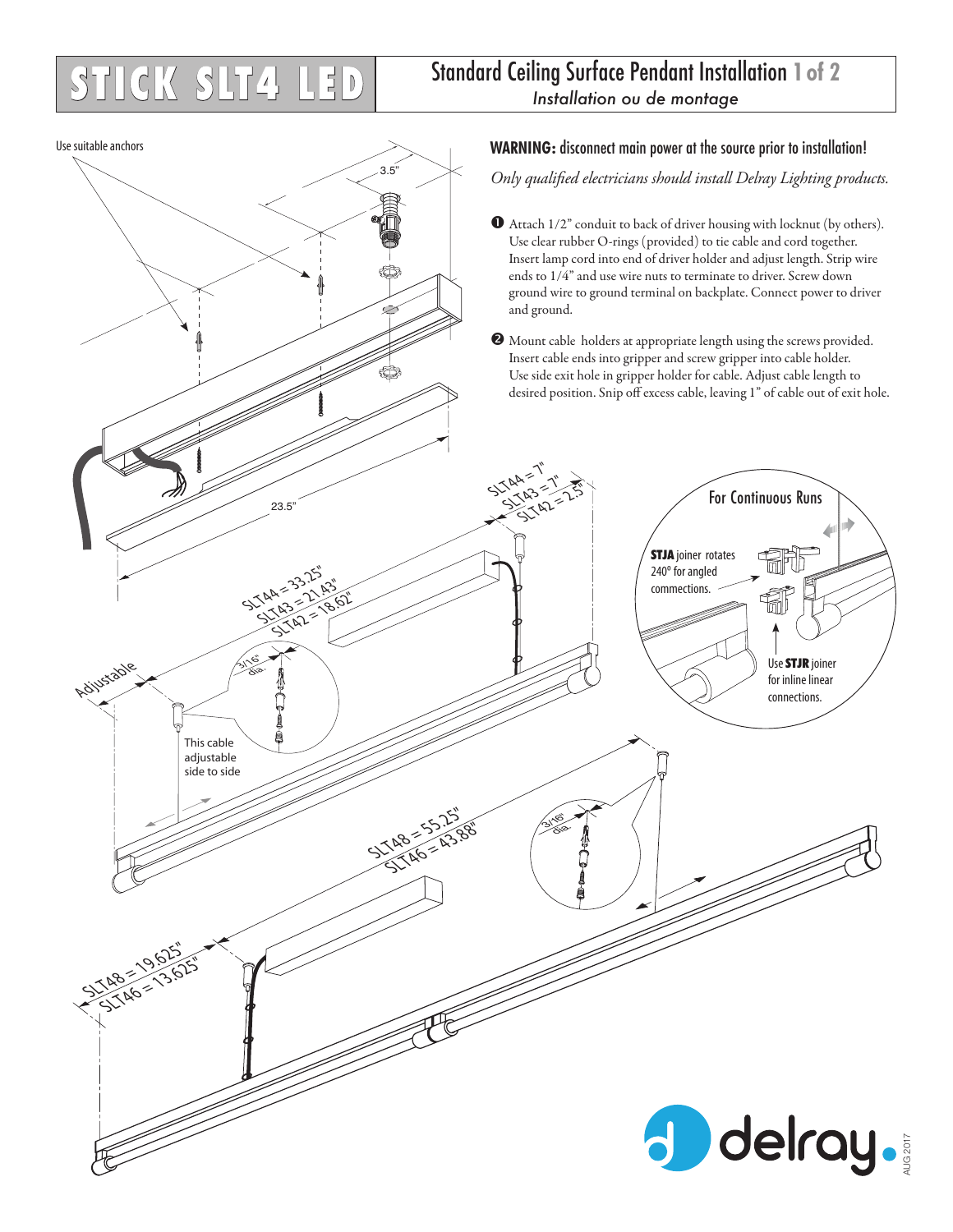